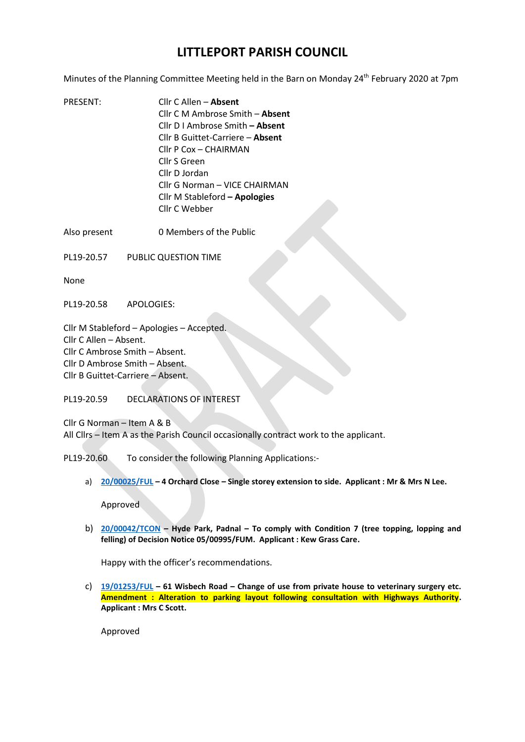## **LITTLEPORT PARISH COUNCIL**

Minutes of the Planning Committee Meeting held in the Barn on Monday 24<sup>th</sup> February 2020 at 7pm

PRESENT: Cllr C Allen – **Absent**  Cllr C M Ambrose Smith – **Absent**  Cllr D I Ambrose Smith **– Absent**  Cllr B Guittet-Carriere – **Absent**  Cllr P Cox – CHAIRMAN Cllr S Green Cllr D Jordan Cllr G Norman – VICE CHAIRMAN Cllr M Stableford **– Apologies**  Cllr C Webber

Also present 0 Members of the Public

PL19-20.57 PUBLIC QUESTION TIME

None

PL19-20.58 APOLOGIES:

Cllr M Stableford – Apologies – Accepted. Cllr C Allen – Absent. Cllr C Ambrose Smith – Absent. Cllr D Ambrose Smith – Absent. Cllr B Guittet-Carriere – Absent.

PL19-20.59 DECLARATIONS OF INTEREST

Cllr G Norman – Item A & B All Cllrs – Item A as the Parish Council occasionally contract work to the applicant.

PL19-20.60 To consider the following Planning Applications:-

a) **[20/00025/FUL](https://pa.eastcambs.gov.uk/online-applications/login.jsp) – 4 Orchard Close – Single storey extension to side. Applicant : Mr & Mrs N Lee.**

Approved

b) **[20/00042/TCON](https://pa.eastcambs.gov.uk/online-applications/login.jsp) – Hyde Park, Padnal – To comply with Condition 7 (tree topping, lopping and felling) of Decision Notice 05/00995/FUM. Applicant : Kew Grass Care.**

Happy with the officer's recommendations.

c) **[19/01253/FUL](https://pa.eastcambs.gov.uk/online-applications/login.jsp) – 61 Wisbech Road – Change of use from private house to veterinary surgery etc. Amendment : Alteration to parking layout following consultation with Highways Authority. Applicant : Mrs C Scott.**

Approved